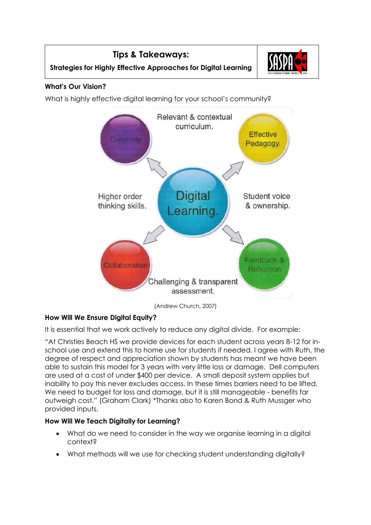

**Strategies for Highly Effective Approaches for Digital Learning**

**Tips & Takeaways:**

# **What's Our Vision?**

What is highly effective digital learning for your school's community?



(Andrew Church, 2007)

# **How Will We Ensure Digital Equity?**

It is essential that we work actively to reduce any digital divide. For example:

"At Christies Beach HS we provide devices for each student across years 8-12 for inschool use and extend this to home use for students if needed. I agree with Ruth, the degree of respect and appreciation shown by students has meant we have been able to sustain this model for 3 years with very little loss or damage. Dell computers are used at a cost of under \$400 per device. A small deposit system applies but inability to pay this never excludes access. In these times barriers need to be lifted. We need to budget for loss and damage, but it is still manageable - benefits far outweigh cost." (Graham Clark) \*Thanks also to Karen Bond & Ruth Mussger who provided inputs.

# **How Will We Teach Digitally for Learning?**

- What do we need to consider in the way we organise learning in a digital context?
- What methods will we use for checking student understanding digitally?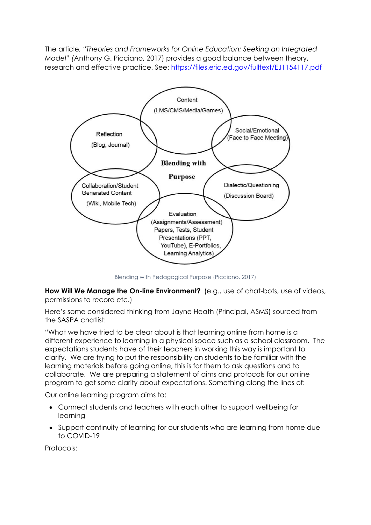The article, *"Theories and Frameworks for Online Education: Seeking an Integrated Model" (*Anthony G. Picciano, 2017) provides a good balance between theory, research and effective practice. See:<https://files.eric.ed.gov/fulltext/EJ1154117.pdf>



Blending with Pedagogical Purpose (Picciano, 2017)

**How Will We Manage the On-line Environment?** (e.g., use of chat-bots, use of videos, permissions to record etc.)

Here's some considered thinking from Jayne Heath (Principal, ASMS) sourced from the SASPA chatlist:

"What we have tried to be clear about is that learning online from home is a different experience to learning in a physical space such as a school classroom. The expectations students have of their teachers in working this way is important to clarify. We are trying to put the responsibility on students to be familiar with the learning materials before going online, this is for them to ask questions and to collaborate. We are preparing a statement of aims and protocols for our online program to get some clarity about expectations. Something along the lines of:

Our online learning program aims to:

- Connect students and teachers with each other to support wellbeing for learning
- Support continuity of learning for our students who are learning from home due to COVID-19

Protocols: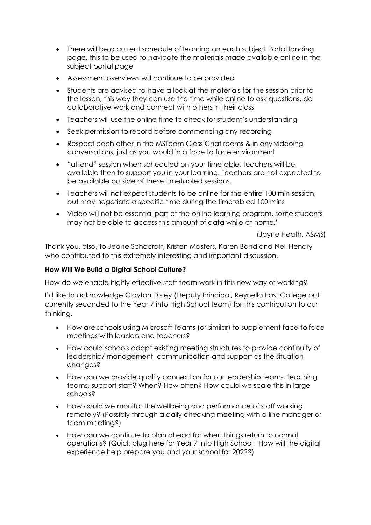- There will be a current schedule of learning on each subject Portal landing page, this to be used to navigate the materials made available online in the subject portal page
- Assessment overviews will continue to be provided
- Students are advised to have a look at the materials for the session prior to the lesson, this way they can use the time while online to ask questions, do collaborative work and connect with others in their class
- Teachers will use the online time to check for student's understanding
- Seek permission to record before commencing any recording
- Respect each other in the MSTeam Class Chat rooms & in any videoing conversations, just as you would in a face to face environment
- "attend" session when scheduled on your timetable, teachers will be available then to support you in your learning. Teachers are not expected to be available outside of these timetabled sessions.
- Teachers will not expect students to be online for the entire 100 min session, but may negotiate a specific time during the timetabled 100 mins
- Video will not be essential part of the online learning program, some students may not be able to access this amount of data while at home."

(Jayne Heath, ASMS)

Thank you, also, to Jeane Schocroft, Kristen Masters, Karen Bond and Neil Hendry who contributed to this extremely interesting and important discussion.

## **How Will We Build a Digital School Culture?**

How do we enable highly effective staff team-work in this new way of working?

I'd like to acknowledge Clayton Disley (Deputy Principal, Reynella East College but currently seconded to the Year 7 into High School team) for this contribution to our thinking.

- How are schools using Microsoft Teams (or similar) to supplement face to face meetings with leaders and teachers?
- How could schools adapt existing meeting structures to provide continuity of leadership/ management, communication and support as the situation changes?
- How can we provide quality connection for our leadership teams, teaching teams, support staff? When? How often? How could we scale this in large schools?
- How could we monitor the wellbeing and performance of staff working remotely? (Possibly through a daily checking meeting with a line manager or team meeting?)
- How can we continue to plan ahead for when things return to normal operations? (Quick plug here for Year 7 into High School. How will the digital experience help prepare you and your school for 2022?)